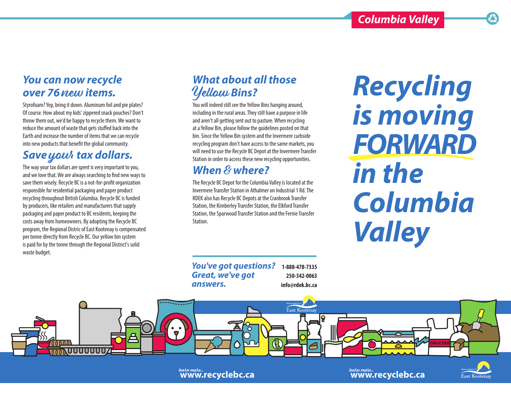# *You can now recycle over 76* new *items.*

Styrofoam? Yep, bring it down. Aluminum foil and pie plates? Of course. How about my kids' zippered snack pouches? Don't throw them out, we'd be happy to recycle them. We want to reduce the amount of waste that gets stuffed back into the Earth and increase the number of items that we can recycle into new products that benefit the global community.

# Save yout tax dollars.

The way your tax dollars are spent is very important to you, and we love that. We are always searching to find new ways to save them wisely. Recycle BC is a not-for-profit organization responsible for residential packaging and paper product recycling throughout British Columbia. Recycle BC is funded by producers, like retailers and manufacturers that supply packaging and paper product to BC residents, keeping the costs away from homeowners. By adopting the Recycle BC program, the Regional Distric of East Kootenay is compensated per tonne directly from Recycle BC. Our yellow bin system is paid for by the tonne through the Regional District's solid waste budget.

# *What about all those*  Yellow *Bins?*

You will indeed still see the Yellow Bins hanging around, including in the rural areas. They still have a purpose in life and aren't all getting sent out to pasture. When recycling at a Yellow Bin, please follow the guidelines posted on that bin. Since the Yellow Bin system and the Invermere curbside recycling program don't have access to the same markets, you will need to use the Recycle BC Depot at the Invermere Transfer Station in order to access these new recycling opportunities.

# *When* & *where?*

The Recycle BC Depot for the Columbia Valley is located at the Invermere Transfer Station in Athalmer on Industrial 1 Rd. The RDEK also has Recycle BC Depots at the Cranbrook Transfer Station, the Kimberley Transfer Station, the Elkford Transfer Station, the Sparwood Transfer Station and the Fernie Transfer Station.

*You've got questions? Great, we've got answers.* **1-888-478-7335 250-342-0063 info@rdek.bc.ca**

*Recycling is moving FORWARD in the Columbia Valley*



learn more **www.recyclebc.ca** learn more **www.recyclebc.ca**